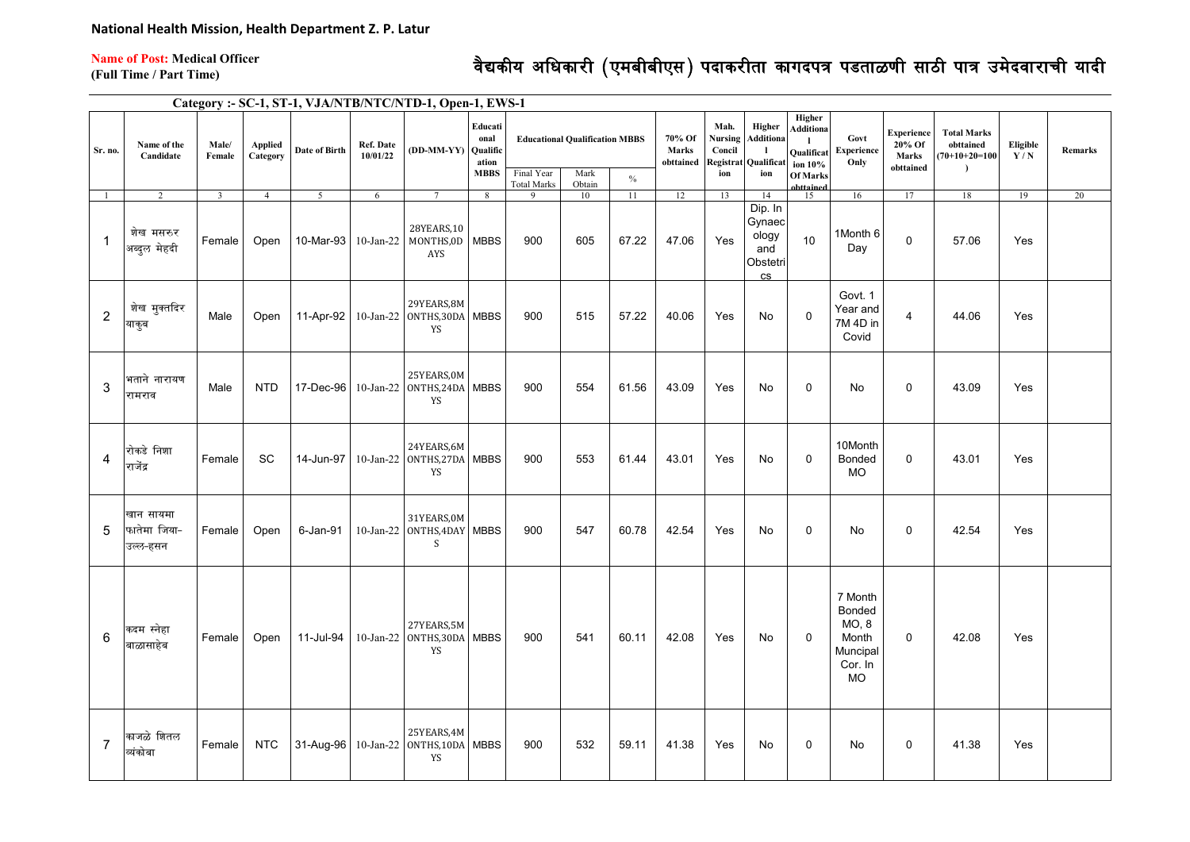**Name of Post: Medical Officer** 

## वैद्यकीय अधिकारी (एमबीबीएस) पदाकरीता कागदपत्र पडताळणी साठी पात्र उमेदवाराची यादी

**(Full Time / Part Time)**

**Category :- SC-1, ST-1, VJA/NTB/NTC/NTD-1, Open-1, EWS-1**

| Sr. no.        | Name of the<br>Candidate              | Male/<br>Female | <b>Applied</b><br>Category | Date of Birth  | Ref. Date<br>10/01/22 | (DD-MM-YY) Qualific                                   | Educati<br>onal<br>ation | <b>Educational Qualification MBBS</b><br>Final Year |                |       | 70% Of<br>Marks<br>obttained | Mah.<br>Nursing<br>Concil<br>Registrat | Higher<br>Additiona<br>-1<br>Qualificat         | Higher<br>Additiona<br><b>Qualificat</b><br>ion 10% | Govt<br><b>Experience</b><br>Only                                | Experience<br>20% Of<br>Marks<br>obttained | <b>Total Marks</b><br>obttained<br>$70+10+20=100$<br>$\lambda$ | Eligible<br>Y/N | <b>Remarks</b> |
|----------------|---------------------------------------|-----------------|----------------------------|----------------|-----------------------|-------------------------------------------------------|--------------------------|-----------------------------------------------------|----------------|-------|------------------------------|----------------------------------------|-------------------------------------------------|-----------------------------------------------------|------------------------------------------------------------------|--------------------------------------------|----------------------------------------------------------------|-----------------|----------------|
|                |                                       |                 |                            |                |                       |                                                       | <b>MBBS</b>              | <b>Total Marks</b>                                  | Mark<br>Obtain | $\%$  |                              | ion                                    | ion                                             | <b>Of Marks</b><br>httained                         |                                                                  |                                            |                                                                |                 |                |
| $\mathbf{1}$   | $\overline{2}$                        | $\overline{3}$  | $\overline{4}$             | 5 <sup>7</sup> | 6                     | $7\overline{ }$                                       | 8                        | 9                                                   | 10             | 11    | 12                           | 13                                     | 14<br>Dip. In                                   | 15                                                  | 16                                                               | 17                                         | 18                                                             | 19              | 20             |
| $\overline{1}$ | शेख मसरुर<br>अब्दुल मेहदी             | Female          | Open                       | 10-Mar-93      | $10$ -Jan-22          | 28YEARS,10<br>MONTHS,0D MBBS<br>AYS                   |                          | 900                                                 | 605            | 67.22 | 47.06                        | Yes                                    | Gynaec<br>ology<br>and<br>Obstetri<br><b>CS</b> | 10                                                  | 1Month 6<br>Day                                                  | 0                                          | 57.06                                                          | Yes             |                |
| $\overline{2}$ | शेख मुक्तदिर<br>याकुब                 | Male            | Open                       | 11-Apr-92      |                       | 29YEARS,8M<br>10-Jan-22 ONTHS,30DA MBBS<br>YS         |                          | 900                                                 | 515            | 57.22 | 40.06                        | Yes                                    | No                                              | $\Omega$                                            | Govt. 1<br>Year and<br>7M 4D in<br>Covid                         | 4                                          | 44.06                                                          | Yes             |                |
| 3              | भताने नारायण<br>रामराव                | Male            | <b>NTD</b>                 | 17-Dec-96      |                       | 25YEARS, 0M<br>10-Jan-22 ONTHS, 24DA MBBS<br>YS       |                          | 900                                                 | 554            | 61.56 | 43.09                        | Yes                                    | No                                              | $\mathbf 0$                                         | No                                                               | 0                                          | 43.09                                                          | Yes             |                |
| $\overline{4}$ | रोकडे निशा<br>राजेंद्र                | Female          | <b>SC</b>                  | 14-Jun-97      |                       | 24YEARS, 6M<br>10-Jan-22 ONTHS, 27DA MBBS<br>YS       |                          | 900                                                 | 553            | 61.44 | 43.01                        | Yes                                    | No                                              | $\mathbf 0$                                         | 10Month<br>Bonded<br><b>MO</b>                                   | 0                                          | 43.01                                                          | Yes             |                |
| 5              | खान सायमा<br>फातेमा जिया-<br>उल्ल-हसन | Female          | Open                       | 6-Jan-91       |                       | 31YEARS, 0M<br>10-Jan-22 ONTHS, 4DAY MBBS<br>S        |                          | 900                                                 | 547            | 60.78 | 42.54                        | Yes                                    | No                                              | $\mathbf 0$                                         | No                                                               | 0                                          | 42.54                                                          | Yes             |                |
| 6              | कदम स्नेहा<br>बाळासाहेब               | Female          | Open                       | 11-Jul-94      |                       | 27YEARS, 5M<br>10-Jan-22 ONTHS,30DA MBBS<br><b>YS</b> |                          | 900                                                 | 541            | 60.11 | 42.08                        | Yes                                    | No                                              | $\mathbf 0$                                         | 7 Month<br>Bonded<br>MO, 8<br>Month<br>Muncipal<br>Cor. In<br>MO | 0                                          | 42.08                                                          | Yes             |                |
| $\overline{7}$ | काजळे शितल<br>व्यंकोबा                | Female          | <b>NTC</b>                 | 31-Aug-96      |                       | 25YEARS, 4M<br>10-Jan-22 ONTHS, 10DA MBBS<br>YS       |                          | 900                                                 | 532            | 59.11 | 41.38                        | Yes                                    | No                                              | $\Omega$                                            | No                                                               | $\mathbf 0$                                | 41.38                                                          | Yes             |                |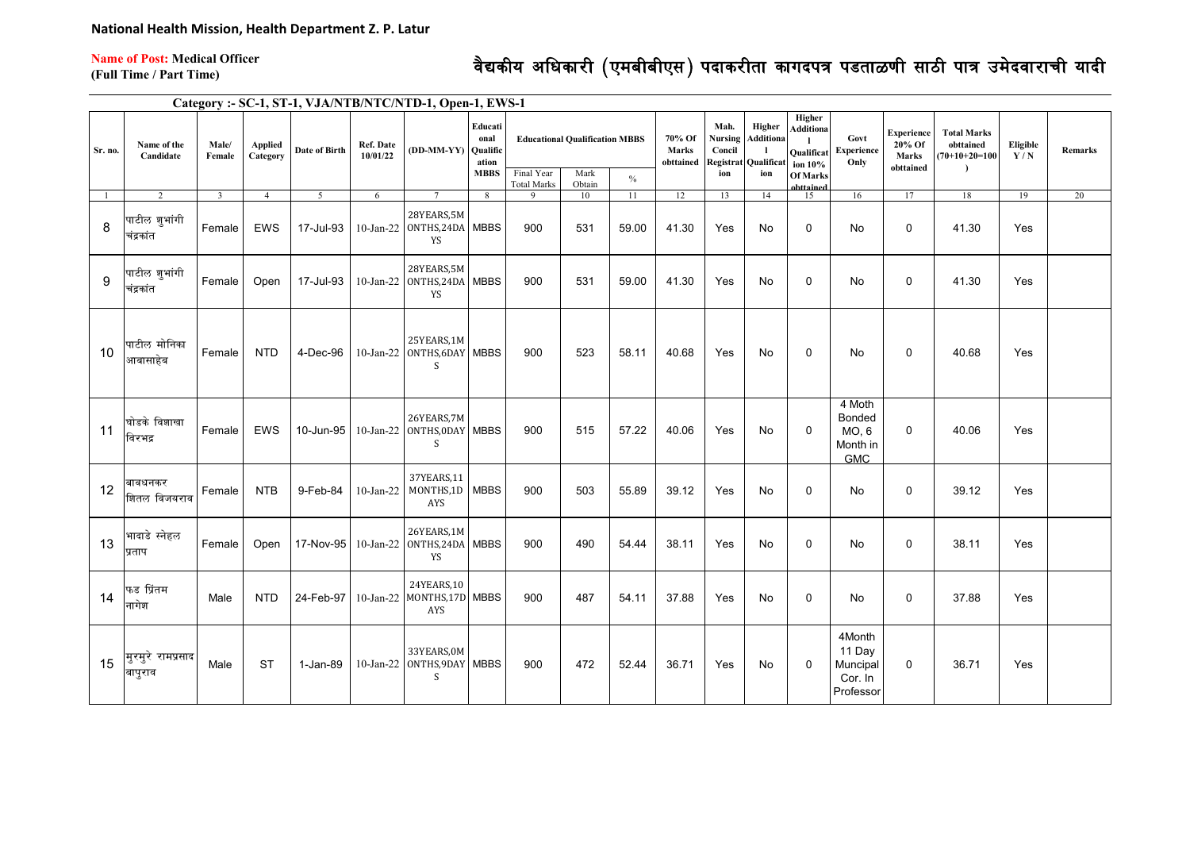**Name of Post: Medical Officer** 

## वेद्यकीय अधिकारी (एमबीबीएस) पदाकरीता कागदपत्र पडताळणी साठी पात्र उमेदवाराची यादी

**(Full Time / Part Time)**

**Category :- SC-1, ST-1, VJA/NTB/NTC/NTD-1, Open-1, EWS-1**

| Sr. no. | Name of the<br>Candidate     | Male/<br>Female | ${\large \bf Applied}$<br>Category | <b>Date of Birth</b> | <b>Ref. Date</b><br>10/01/22 | (DD-MM-YY) Qualific                                       | Educati<br>onal<br>ation | <b>Educational Qualification MBBS</b> |                | 70% Of<br><b>Marks</b><br>obttained | Mah.<br>Nursing<br>Concil<br>Registrat | Higher<br>Additiona<br>Qualificat | Higher<br><b>Additiona</b><br>$\mathbf{I}$<br><b>Qualificat</b><br>ion 10% | Govt<br><b>Experience</b><br>Only | <b>Experience</b><br>20% Of<br>Marks<br>obttained          | <b>Total Marks</b><br>obttained<br>$(70+10+20=100$ | Eligible<br>Y/N | <b>Remarks</b> |    |
|---------|------------------------------|-----------------|------------------------------------|----------------------|------------------------------|-----------------------------------------------------------|--------------------------|---------------------------------------|----------------|-------------------------------------|----------------------------------------|-----------------------------------|----------------------------------------------------------------------------|-----------------------------------|------------------------------------------------------------|----------------------------------------------------|-----------------|----------------|----|
|         |                              |                 |                                    |                      |                              |                                                           | <b>MBBS</b>              | Final Year<br><b>Total Marks</b>      | Mark<br>Obtain | $\%$                                |                                        | ion                               | ion                                                                        | <b>Of Marks</b><br>ahttained      |                                                            |                                                    |                 |                |    |
|         | 2                            | $\overline{3}$  | $\overline{4}$                     | 5                    | 6                            | $\tau$                                                    | 8                        |                                       | 10             | 11                                  | 12                                     | 13                                | 14                                                                         | 15                                | 16                                                         | 17                                                 | 18              | 19             | 20 |
| 8       | पाटील शुभांगी<br>चंद्रकांत   | Female          | <b>EWS</b>                         | 17-Jul-93            |                              | 28YEARS,5M<br>10-Jan-22 ONTHS, 24DA MBBS<br>YS            |                          | 900                                   | 531            | 59.00                               | 41.30                                  | Yes                               | <b>No</b>                                                                  | $\mathbf{0}$                      | <b>No</b>                                                  | 0                                                  | 41.30           | Yes            |    |
| 9       | पाटील शुभांगी<br>चंद्रकांत   | Female          | Open                               | 17-Jul-93            |                              | 28YEARS,5M<br>10-Jan-22 ONTHS,24DA MBBS<br>YS             |                          | 900                                   | 531            | 59.00                               | 41.30                                  | Yes                               | No                                                                         | $\mathbf 0$                       | No                                                         | 0                                                  | 41.30           | Yes            |    |
| 10      | पाटील मोनिका<br>आबासाहेब     | Female          | <b>NTD</b>                         | 4-Dec-96             |                              | 25YEARS, 1M<br>10-Jan-22 ONTHS, 6DAY MBBS<br><sub>S</sub> |                          | 900                                   | 523            | 58.11                               | 40.68                                  | Yes                               | No                                                                         | $\mathbf 0$                       | No                                                         | 0                                                  | 40.68           | Yes            |    |
| 11      | घोडके विशाखा<br>विरभद्र      | Female          | EWS                                | 10-Jun-95            |                              | 26YEARS,7M<br>10-Jan-22 ONTHS, 0DAY MBBS<br>S             |                          | 900                                   | 515            | 57.22                               | 40.06                                  | Yes                               | No                                                                         | $\mathbf 0$                       | 4 Moth<br><b>Bonded</b><br>MO. 6<br>Month in<br><b>GMC</b> | 0                                                  | 40.06           | Yes            |    |
| 12      | बावधनकर<br>शितल विजयराव      | Female          | <b>NTB</b>                         | 9-Feb-84             | $10$ -Jan-22                 | 37YEARS, 11<br>MONTHS,1D MBBS<br>AYS                      |                          | 900                                   | 503            | 55.89                               | 39.12                                  | Yes                               | No                                                                         | 0                                 | No                                                         | 0                                                  | 39.12           | Yes            |    |
| 13      | भादाडे स्नेहल<br>प्रताप      | Female          | Open                               |                      |                              | 26YEARS,1M<br>17-Nov-95 10-Jan-22 0NTHS, 24DA MBBS<br>YS  |                          | 900                                   | 490            | 54.44                               | 38.11                                  | Yes                               | No                                                                         | $\mathbf{0}$                      | No                                                         | 0                                                  | 38.11           | Yes            |    |
| 14      | फड प्रिंतम<br>नागेश          | Male            | <b>NTD</b>                         | 24-Feb-97            |                              | 24YEARS, 10<br>10-Jan-22 MONTHS,17D MBBS<br>AYS           |                          | 900                                   | 487            | 54.11                               | 37.88                                  | Yes                               | No                                                                         | 0                                 | No                                                         | 0                                                  | 37.88           | Yes            |    |
| 15      | मुरमुरे रामप्रसाद<br>बापुराव | Male            | <b>ST</b>                          | 1-Jan-89             |                              | 33YEARS, 0M<br>10-Jan-22 ONTHS, 9DAY MBBS<br>S.           |                          | 900                                   | 472            | 52.44                               | 36.71                                  | Yes                               | No                                                                         | $\mathbf 0$                       | 4Month<br>11 Day<br>Muncipal<br>Cor. In<br>Professor       | 0                                                  | 36.71           | Yes            |    |